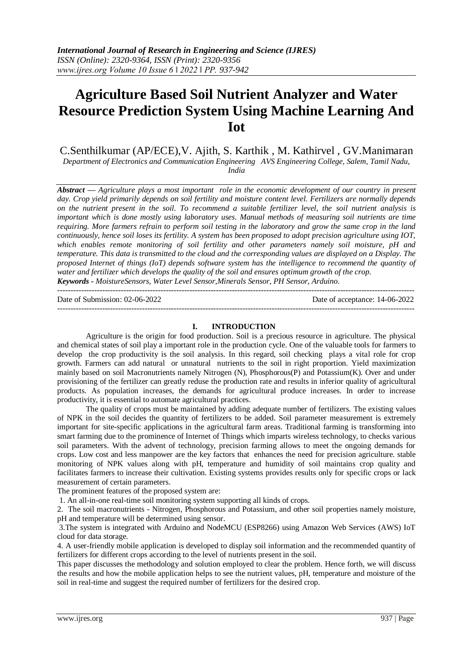# **Agriculture Based Soil Nutrient Analyzer and Water Resource Prediction System Using Machine Learning And Iot**

C.Senthilkumar (AP/ECE),V. Ajith, S. Karthik , M. Kathirvel , GV.Manimaran

*Department of Electronics and Communication Engineering AVS Engineering College, Salem, Tamil Nadu, India*

*Abstract — Agriculture plays a most important role in the economic development of our country in present day. Crop yield primarily depends on soil fertility and moisture content level. Fertilizers are normally depends on the nutrient present in the soil. To recommend a suitable fertilizer level, the soil nutrient analysis is important which is done mostly using laboratory uses. Manual methods of measuring soil nutrients are time requiring. More farmers refrain to perform soil testing in the laboratory and grow the same crop in the land continuously, hence soil loses its fertility. A system has been proposed to adopt precision agriculture using IOT, which enables remote monitoring of soil fertility and other parameters namely soil moisture, pH and temperature. This data is transmitted to the cloud and the corresponding values are displayed on a Display. The proposed Internet of things (IoT) depends software system has the intelligence to recommend the quantity of water and fertilizer which develops the quality of the soil and ensures optimum growth of the crop. Keywords - MoistureSensors, Water Level Sensor,Minerals Sensor, PH Sensor, Arduino.*

---------------------------------------------------------------------------------------------------------------------------------------

---------------------------------------------------------------------------------------------------------------------------------------

Date of Submission: 02-06-2022 Date of acceptance: 14-06-2022

## **I. INTRODUCTION**

Agriculture is the origin for food production. Soil is a precious resource in agriculture. The physical and chemical states of soil play a important role in the production cycle. One of the valuable tools for farmers to develop the crop productivity is the soil analysis. In this regard, soil checking plays a vital role for crop growth. Farmers can add natural or unnatural nutrients to the soil in right proportion. Yield maximization mainly based on soil Macronutrients namely Nitrogen (N), Phosphorous(P) and Potassium(K). Over and under provisioning of the fertilizer can greatly reduse the production rate and results in inferior quality of agricultural products. As population increases, the demands for agricultural produce increases. In order to increase productivity, it is essential to automate agricultural practices.

The quality of crops must be maintained by adding adequate number of fertilizers. The existing values of NPK in the soil decides the quantity of fertilizers to be added. Soil parameter measurement is extremely important for site-specific applications in the agricultural farm areas. Traditional farming is transforming into smart farming due to the prominence of Internet of Things which imparts wireless technology, to checks various soil parameters. With the advent of technology, precision farming allows to meet the ongoing demands for crops. Low cost and less manpower are the key factors that enhances the need for precision agriculture. stable monitoring of NPK values along with pH, temperature and humidity of soil maintains crop quality and facilitates farmers to increase their cultivation. Existing systems provides results only for specific crops or lack measurement of certain parameters.

The prominent features of the proposed system are:

1. An all-in-one real-time soil monitoring system supporting all kinds of crops.

2. The soil macronutrients - Nitrogen, Phosphorous and Potassium, and other soil properties namely moisture, pH and temperature will be determined using sensor.

3.The system is integrated with Arduino and NodeMCU (ESP8266) using Amazon Web Services (AWS) IoT cloud for data storage.

4. A user-friendly mobile application is developed to display soil information and the recommended quantity of fertilizers for different crops according to the level of nutrients present in the soil.

This paper discusses the methodology and solution employed to clear the problem. Hence forth, we will discuss the results and how the mobile application helps to see the nutrient values, pH, temperature and moisture of the soil in real-time and suggest the required number of fertilizers for the desired crop.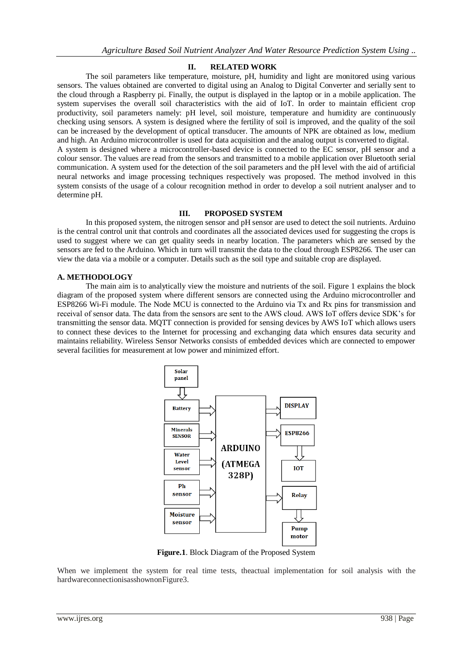#### **II. RELATED WORK**

The soil parameters like temperature, moisture, pH, humidity and light are monitored using various sensors. The values obtained are converted to digital using an Analog to Digital Converter and serially sent to the cloud through a Raspberry pi. Finally, the output is displayed in the laptop or in a mobile application. The system supervises the overall soil characteristics with the aid of IoT. In order to maintain efficient crop productivity, soil parameters namely: pH level, soil moisture, temperature and humidity are continuously checking using sensors. A system is designed where the fertility of soil is improved, and the quality of the soil can be increased by the development of optical transducer. The amounts of NPK are obtained as low, medium and high. An Arduino microcontroller is used for data acquisition and the analog output is converted to digital. A system is designed where a microcontroller-based device is connected to the EC sensor, pH sensor and a colour sensor. The values are read from the sensors and transmitted to a mobile application over Bluetooth serial communication. A system used for the detection of the soil parameters and the pH level with the aid of artificial neural networks and image processing techniques respectively was proposed. The method involved in this system consists of the usage of a colour recognition method in order to develop a soil nutrient analyser and to determine pH.

#### **III. PROPOSED SYSTEM**

In this proposed system, the nitrogen sensor and pH sensor are used to detect the soil nutrients. Arduino is the central control unit that controls and coordinates all the associated devices used for suggesting the crops is used to suggest where we can get quality seeds in nearby location. The parameters which are sensed by the sensors are fed to the Arduino. Which in turn will transmit the data to the cloud through ESP8266. The user can view the data via a mobile or a computer. Details such as the soil type and suitable crop are displayed.

#### **A. METHODOLOGY**

The main aim is to analytically view the moisture and nutrients of the soil. Figure 1 explains the block diagram of the proposed system where different sensors are connected using the Arduino microcontroller and ESP8266 Wi-Fi module. The Node MCU is connected to the Arduino via Tx and Rx pins for transmission and receival of sensor data. The data from the sensors are sent to the AWS cloud. AWS IoT offers device SDK's for transmitting the sensor data. MQTT connection is provided for sensing devices by AWS IoT which allows users to connect these devices to the Internet for processing and exchanging data which ensures data security and maintains reliability. Wireless Sensor Networks consists of embedded devices which are connected to empower several facilities for measurement at low power and minimized effort.



**Figure.1**. Block Diagram of the Proposed System

When we implement the system for real time tests, theactual implementation for soil analysis with the hardwareconnectionisasshownonFigure3.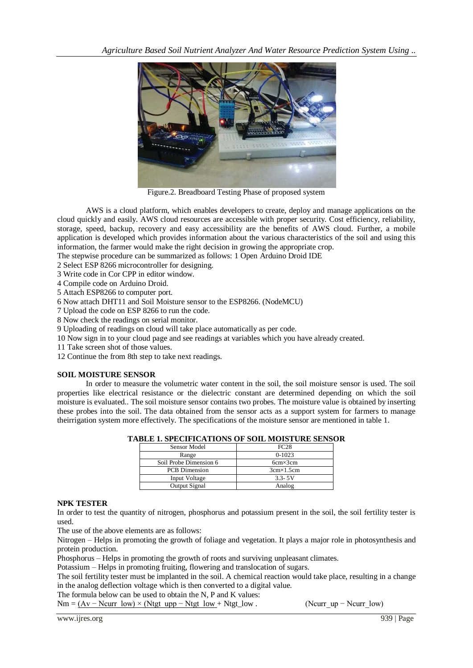

Figure.2. Breadboard Testing Phase of proposed system

AWS is a cloud platform, which enables developers to create, deploy and manage applications on the cloud quickly and easily. AWS cloud resources are accessible with proper security. Cost efficiency, reliability, storage, speed, backup, recovery and easy accessibility are the benefits of AWS cloud. Further, a mobile application is developed which provides information about the various characteristics of the soil and using this information, the farmer would make the right decision in growing the appropriate crop.

The stepwise procedure can be summarized as follows: 1 Open Arduino Droid IDE

2 Select ESP 8266 microcontroller for designing.

3 Write code in Cor CPP in editor window.

4 Compile code on Arduino Droid.

5 Attach ESP8266 to computer port.

6 Now attach DHT11 and Soil Moisture sensor to the ESP8266. (NodeMCU)

7 Upload the code on ESP 8266 to run the code.

8 Now check the readings on serial monitor.

9 Uploading of readings on cloud will take place automatically as per code.

10 Now sign in to your cloud page and see readings at variables which you have already created.

11 Take screen shot of those values.

12 Continue the from 8th step to take next readings.

#### **SOIL MOISTURE SENSOR**

In order to measure the volumetric water content in the soil, the soil moisture sensor is used. The soil properties like electrical resistance or the dielectric constant are determined depending on which the soil moisture is evaluated.. The soil moisture sensor contains two probes. The moisture value is obtained by inserting these probes into the soil. The data obtained from the sensor acts as a support system for farmers to manage theirrigation system more effectively. The specifications of the moisture sensor are mentioned in table 1.

| BLE 1. SPECIFICATIONS OF SOIL MOISTURE SENSC |                    |  |
|----------------------------------------------|--------------------|--|
| <b>Sensor Model</b>                          | FC28               |  |
| Range                                        | $0-1023$           |  |
| Soil Probe Dimension 6                       | $6cm \times 3cm$   |  |
| <b>PCB</b> Dimension                         | $3cm \times 1.5cm$ |  |
| Input Voltage                                | $3.3 - 5V$         |  |
| Output Signal                                | Analog             |  |

#### **TABLE 1. SPECIFICATIONS OF SOIL MOISTURE SENSOR**

#### **NPK TESTER**

In order to test the quantity of nitrogen, phosphorus and potassium present in the soil, the soil fertility tester is used.

The use of the above elements are as follows:

Nitrogen – Helps in promoting the growth of foliage and vegetation. It plays a major role in photosynthesis and protein production.

Phosphorus – Helps in promoting the growth of roots and surviving unpleasant climates.

Potassium – Helps in promoting fruiting, flowering and translocation of sugars.

The soil fertility tester must be implanted in the soil. A chemical reaction would take place, resulting in a change in the analog deflection voltage which is then converted to a digital value.

The formula below can be used to obtain the N, P and K values:

 $Nm = (Av - Ncurr_low) \times (Ntgt_lupp - Ntgt_low + Ntgt_low .$  (Ncurr\_up – Ncurr\_low)

www.ijres.org 939 | Page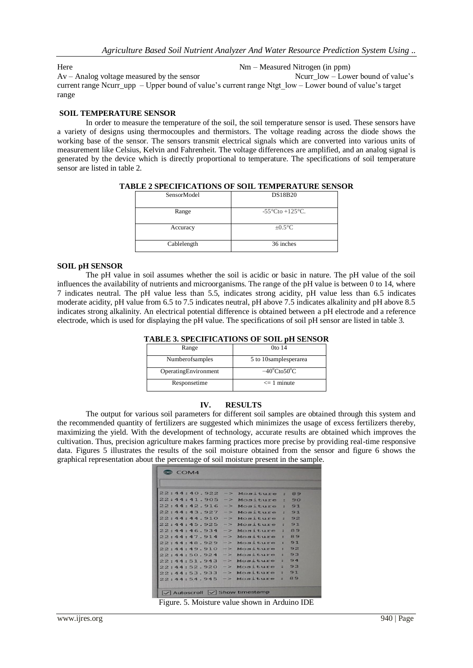Here Nm – Measured Nitrogen (in ppm)

Av – Analog voltage measured by the sensor Ncurr low – Lower bound of value's current range Ncurr\_upp – Upper bound of value's current range Ntgt\_low – Lower bound of value's target range

#### **SOIL TEMPERATURE SENSOR**

In order to measure the temperature of the soil, the soil temperature sensor is used. These sensors have a variety of designs using thermocouples and thermistors. The voltage reading across the diode shows the working base of the sensor. The sensors transmit electrical signals which are converted into various units of measurement like Celsius, Kelvin and Fahrenheit. The voltage differences are amplified, and an analog signal is generated by the device which is directly proportional to temperature. The specifications of soil temperature sensor are listed in table 2.

| SensorModel | <b>DS18B20</b>                       |
|-------------|--------------------------------------|
| Range       | $-55^{\circ}$ Cto +125 $^{\circ}$ C. |
| Accuracy    | $\pm 0.5$ °C                         |
| Cablelength | 36 inches                            |

**TABLE 2 SPECIFICATIONS OF SOIL TEMPERATURE SENSOR**

#### **SOIL pH SENSOR**

The pH value in soil assumes whether the soil is acidic or basic in nature. The pH value of the soil influences the availability of nutrients and microorganisms. The range of the pH value is between 0 to 14, where 7 indicates neutral. The pH value less than 5.5, indicates strong acidity, pH value less than 6.5 indicates moderate acidity, pH value from 6.5 to 7.5 indicates neutral, pH above 7.5 indicates alkalinity and pH above 8.5 indicates strong alkalinity. An electrical potential difference is obtained between a pH electrode and a reference electrode, which is used for displaying the pH value. The specifications of soil pH sensor are listed in table 3.

| TABLE 3. SPECIFICATIONS OF SOIL pH SENSOR |  |  |
|-------------------------------------------|--|--|
|                                           |  |  |

| Range                | 0 <sub>to</sub> 14               |
|----------------------|----------------------------------|
| Numberofsamples      | 5 to 10 samples per area         |
| OperatingEnvironment | $-40^{\circ}$ Cto $50^{\circ}$ C |
| Responsetime         | $\leq$ 1 minute                  |

#### **IV. RESULTS**

The output for various soil parameters for different soil samples are obtained through this system and the recommended quantity of fertilizers are suggested which minimizes the usage of excess fertilizers thereby, maximizing the yield. With the development of technology, accurate results are obtained which improves the cultivation. Thus, precision agriculture makes farming practices more precise by providing real-time responsive data. Figures 5 illustrates the results of the soil moisture obtained from the sensor and figure 6 shows the graphical representation about the percentage of soil moisture present in the sample.

| 22:44:40.922 -> Mositure : 89    |              |     |        |
|----------------------------------|--------------|-----|--------|
| 22:44:41.905 -> Mositure : 90    |              |     |        |
| 22:44:42.916 -> Mositure : 91    |              |     |        |
| $22:44:43.927 - 12$ Mositure: 91 |              |     |        |
| $22:44:44.910 ->$ Mositure: 92   |              |     |        |
| $22:44:45.925$ ->                | Mositure: 91 |     |        |
| $22:44:46.934$ -> Mositure: 89   |              |     |        |
| $22:44:47.914 -> Mostture:$      |              |     | 89     |
| $22:44:48.929 - \gt$             | Mositure     | $=$ | 91     |
| $22:44:49.910 -> Mostture$       |              |     | 592    |
| 22:44:50.924 -> Mositure : 93    |              |     |        |
| $22:44:51.943$ -> Mositure       |              |     | $-94$  |
| $22:44:52.920$ -> Mositure       |              |     | $= 93$ |
| 22:44:53.933 -> Mositure : 91    |              |     |        |
| 22:44:54.945 -> Mositure :       |              |     | 89     |

Figure. 5. Moisture value shown in Arduino IDE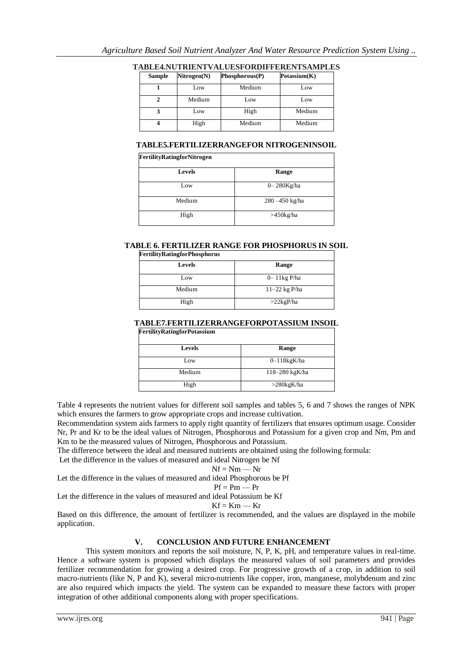| Sample | Nitrogen(N) | Phosphorous(P) | Potassium(K) |
|--------|-------------|----------------|--------------|
|        | Low         | Medium         | Low          |
|        | Medium      | Low            | Low          |
|        | Low         | High           | Medium       |
|        | High        | Medium         | Medium       |

**TABLE4.NUTRIENTVALUESFORDIFFERENTSAMPLES**

#### **TABLE5.FERTILIZERRANGEFOR NITROGENINSOIL**

| <b>FertilityRatingforNitrogen</b> |                 |  |  |
|-----------------------------------|-----------------|--|--|
| <b>Levels</b>                     | Range           |  |  |
| Low                               | $0 - 280$ Kg/ha |  |  |
| Medium                            | 280-450 kg/ha   |  |  |
| High                              | $>450$ kg/ha    |  |  |

#### **TABLE 6. FERTILIZER RANGE FOR PHOSPHORUS IN SOIL**

| <b>FertilityRatingforPhosphorus</b> |                  |  |  |
|-------------------------------------|------------------|--|--|
| <b>Levels</b>                       | Range            |  |  |
| Low                                 | $0 - 11$ kg P/ha |  |  |
| Medium                              | $11-22$ kg P/ha  |  |  |
| High                                | $>22$ kgP/ha     |  |  |

#### **TABLE7.FERTILIZERRANGEFORPOTASSIUM INSOIL FertilityRatingforPotassium**

| $\cdots$      |                    |
|---------------|--------------------|
| <b>Levels</b> | Range              |
| Low           | $0-118$ kg $K$ /ha |
| Medium        | 118-280 kgK/ha     |
| High          | $>280$ kgK/ha      |

Table 4 represents the nutrient values for different soil samples and tables 5, 6 and 7 shows the ranges of NPK which ensures the farmers to grow appropriate crops and increase cultivation.

Recommendation system aids farmers to apply right quantity of fertilizers that ensures optimum usage. Consider Nr, Pr and Kr to be the ideal values of Nitrogen, Phosphorous and Potassium for a given crop and Nm, Pm and Km to be the measured values of Nitrogen, Phosphorous and Potassium.

The difference between the ideal and measured nutrients are obtained using the following formula:

Let the difference in the values of measured and ideal Nitrogen be Nf

$$
Nf = Nm - Nr
$$

Let the difference in the values of measured and ideal Phosphorous be Pf

$$
Pf = Pm \longrightarrow Pr
$$

Let the difference in the values of measured and ideal Potassium be Kf

$$
\mathbf{K}\mathbf{f} = \mathbf{K}\mathbf{m} - \mathbf{K}\mathbf{r}
$$

Based on this difference, the amount of fertilizer is recommended, and the values are displayed in the mobile application.

### **V. CONCLUSION AND FUTURE ENHANCEMENT**

This system monitors and reports the soil moisture, N, P, K, pH, and temperature values in real-time. Hence a software system is proposed which displays the measured values of soil parameters and provides fertilizer recommendation for growing a desired crop. For progressive growth of a crop, in addition to soil macro-nutrients (like N, P and K), several micro-nutrients like copper, iron, manganese, molybdenum and zinc are also required which impacts the yield. The system can be expanded to measure these factors with proper integration of other additional components along with proper specifications.